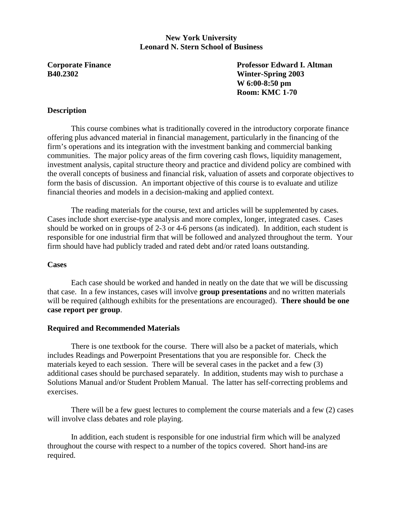### **New York University Leonard N. Stern School of Business**

**Corporate Finance 22 Corporate Finance 22 Corporate Finance 22 Corporate Finance 22 Corporate Finance 22 Corporate 22 Corporate Finance 22 Corporate Finance 22 Corporate Professor Edward I. Altman 2013 B40.2302 Winter-Spring 2003 W 6:00-8:50 pm Room: KMC 1-70** 

### **Description**

This course combines what is traditionally covered in the introductory corporate finance offering plus advanced material in financial management, particularly in the financing of the firm's operations and its integration with the investment banking and commercial banking communities. The major policy areas of the firm covering cash flows, liquidity management, investment analysis, capital structure theory and practice and dividend policy are combined with the overall concepts of business and financial risk, valuation of assets and corporate objectives to form the basis of discussion. An important objective of this course is to evaluate and utilize financial theories and models in a decision-making and applied context.

 The reading materials for the course, text and articles will be supplemented by cases. Cases include short exercise-type analysis and more complex, longer, integrated cases. Cases should be worked on in groups of 2-3 or 4-6 persons (as indicated). In addition, each student is responsible for one industrial firm that will be followed and analyzed throughout the term. Your firm should have had publicly traded and rated debt and/or rated loans outstanding.

#### **Cases**

 Each case should be worked and handed in neatly on the date that we will be discussing that case. In a few instances, cases will involve **group presentations** and no written materials will be required (although exhibits for the presentations are encouraged). **There should be one case report per group**.

#### **Required and Recommended Materials**

 There is one textbook for the course. There will also be a packet of materials, which includes Readings and Powerpoint Presentations that you are responsible for. Check the materials keyed to each session. There will be several cases in the packet and a few (3) additional cases should be purchased separately. In addition, students may wish to purchase a Solutions Manual and/or Student Problem Manual. The latter has self-correcting problems and exercises.

 There will be a few guest lectures to complement the course materials and a few (2) cases will involve class debates and role playing.

 In addition, each student is responsible for one industrial firm which will be analyzed throughout the course with respect to a number of the topics covered. Short hand-ins are required.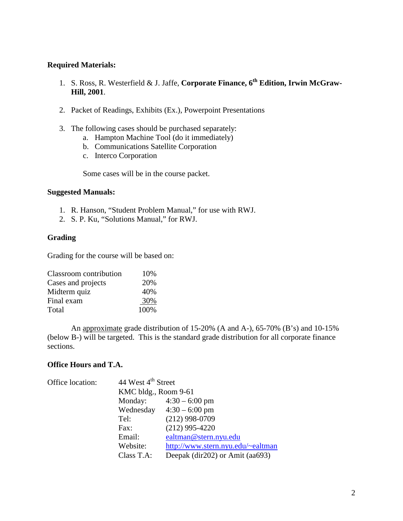### **Required Materials:**

- 1. S. Ross, R. Westerfield & J. Jaffe, **Corporate Finance, 6th Edition, Irwin McGraw-Hill, 2001**.
- 2. Packet of Readings, Exhibits (Ex.), Powerpoint Presentations
- 3. The following cases should be purchased separately:
	- a. Hampton Machine Tool (do it immediately)
		- b. Communications Satellite Corporation
		- c. Interco Corporation

Some cases will be in the course packet.

#### **Suggested Manuals:**

- 1. R. Hanson, "Student Problem Manual," for use with RWJ.
- 2. S. P. Ku, "Solutions Manual," for RWJ.

#### **Grading**

Grading for the course will be based on:

| Classroom contribution | 10%  |
|------------------------|------|
| Cases and projects     | 20%  |
| Midterm quiz           | 40%  |
| Final exam             | 30%  |
| Total                  | 100% |

 An approximate grade distribution of 15-20% (A and A-), 65-70% (B's) and 10-15% (below B-) will be targeted. This is the standard grade distribution for all corporate finance sections.

#### **Office Hours and T.A.**

| Office location: | 44 West 4 <sup>th</sup> Street |                                   |  |
|------------------|--------------------------------|-----------------------------------|--|
|                  | KMC bldg., Room 9-61           |                                   |  |
|                  |                                | Monday: $4:30 - 6:00 \text{ pm}$  |  |
|                  |                                | Wednesday $4:30 - 6:00$ pm        |  |
|                  | Tel:                           | $(212)$ 998-0709                  |  |
|                  | Fax:                           | $(212)$ 995-4220                  |  |
|                  | Email:                         | ealtman@stern.nyu.edu             |  |
|                  | Website:                       | http://www.stern.nyu.edu/~ealtman |  |
|                  | Class T.A:                     | Deepak (dir202) or Amit (aa693)   |  |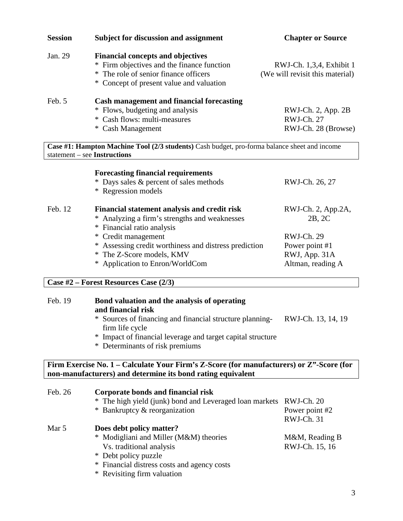| <b>Session</b> | <b>Subject for discussion and assignment</b>                                                                                                                                | <b>Chapter or Source</b>                                    |
|----------------|-----------------------------------------------------------------------------------------------------------------------------------------------------------------------------|-------------------------------------------------------------|
| Jan. 29        | <b>Financial concepts and objectives</b><br>* Firm objectives and the finance function<br>* The role of senior finance officers<br>* Concept of present value and valuation | RWJ-Ch. 1,3,4, Exhibit 1<br>(We will revisit this material) |
| Feb. 5         | Cash management and financial forecasting<br>* Flows, budgeting and analysis<br>* Cash flows: multi-measures<br>* Cash Management                                           | $RWJ-Ch. 2, App. 2B$<br>RWJ-Ch. 27<br>RWJ-Ch. 28 (Browse)   |
|                | Case #1: Hampton Machine Tool (2/3 students) Cash budget, pro-forma balance sheet and income<br>statement $-$ see Instructions                                              |                                                             |
|                | <b>Forecasting financial requirements</b><br>* Days sales & percent of sales methods                                                                                        | RWJ-Ch. 26, 27                                              |

\* Regression models

| Feb. 12 | Financial statement analysis and credit risk<br>* Analyzing a firm's strengths and weaknesses<br>* Financial ratio analysis | RWJ-Ch. 2, App.2A,<br>2B, 2C |
|---------|-----------------------------------------------------------------------------------------------------------------------------|------------------------------|
|         | * Credit management                                                                                                         | RWJ-Ch. 29                   |
|         | * Assessing credit worthiness and distress prediction                                                                       | Power point #1               |
|         | * The Z-Score models, KMV                                                                                                   | RWJ, App. 31A                |
|         | * Application to Enron/WorldCom                                                                                             | Altman, reading A            |

# **Case #2 – Forest Resources Case (2/3)**

| Feb. 19 | Bond valuation and the analysis of operating<br>and financial risk                       |                    |
|---------|------------------------------------------------------------------------------------------|--------------------|
|         | * Sources of financing and financial structure planning-<br>firm life cycle              | RWJ-Ch. 13, 14, 19 |
|         | * Impact of financial leverage and target capital structure                              |                    |
|         | * Determinants of risk premiums                                                          |                    |
|         | Firm Exercise No. 1 – Calculate Your Firm's Z-Score (for manufacturers) or Z"-Score (for |                    |

| Feb. 26 | Corporate bonds and financial risk                                 |                |
|---------|--------------------------------------------------------------------|----------------|
|         | * The high yield (junk) bond and Leveraged loan markets RWJ-Ch. 20 |                |
|         | * Bankruptcy & reorganization                                      | Power point #2 |
|         |                                                                    | RWJ-Ch. 31     |
| Mar 5   | Does debt policy matter?                                           |                |
|         | * Modigliani and Miller (M&M) theories                             | M&M, Reading B |
|         | Vs. traditional analysis                                           | RWJ-Ch. 15, 16 |
|         | * Debt policy puzzle                                               |                |
|         | * Financial distress costs and agency costs                        |                |
|         | * Revisiting firm valuation                                        |                |

**non-manufacturers) and determine its bond rating equivalent**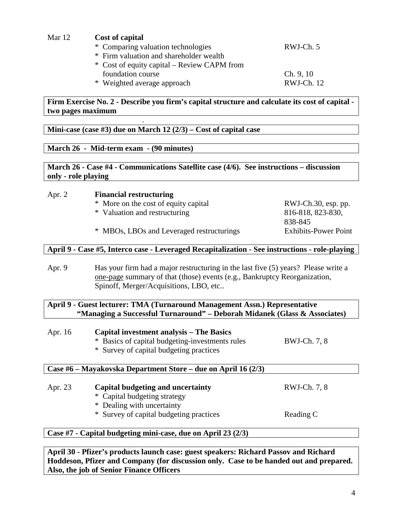| Mar 12 | Cost of capital                             |            |
|--------|---------------------------------------------|------------|
|        | * Comparing valuation technologies          | RWJ-Ch. 5  |
|        | * Firm valuation and shareholder wealth     |            |
|        | * Cost of equity capital – Review CAPM from |            |
|        | foundation course                           | Ch. 9, 10  |
|        | * Weighted average approach                 | RWJ-Ch. 12 |

**Firm Exercise No. 2 - Describe you firm's capital structure and calculate its cost of capital two pages maximum** 

**Mini-case (case #3) due on March 12 (2/3) – Cost of capital case** 

# **March 26 - Mid-term exam - (90 minutes)**

.

**March 26 - Case #4 - Communications Satellite case (4/6). See instructions – discussion only - role playing** 

### Apr. 2 **Financial restructuring**

- \* More on the cost of equity capital RWJ-Ch.30, esp. pp.
- \* Valuation and restructuring 816-818, 823-830,
- \* MBOs, LBOs and Leveraged restructurings Exhibits-Power Point

838-845

# **April 9 - Case #5, Interco case - Leveraged Recapitalization - See instructions - role-playing**

Apr. 9 Has your firm had a major restructuring in the last five (5) years? Please write a one-page summary of that (those) events (e.g., Bankruptcy Reorganization, Spinoff, Merger/Acquisitions, LBO, etc..

### **April 9 - Guest lecturer: TMA (Turnaround Management Assn.) Representative "Managing a Successful Turnaround" – Deborah Midanek (Glass & Associates)**

| Apr. 16 | Capital investment analysis – The Basics        |              |  |
|---------|-------------------------------------------------|--------------|--|
|         | * Basics of capital budgeting-investments rules | BWJ-Ch. 7, 8 |  |
|         | * Survey of capital budgeting practices         |              |  |
|         |                                                 |              |  |

# **Case #6 – Mayakovska Department Store – due on April 16 (2/3)**

| Apr. 23 | Capital budgeting and uncertainty       | RWJ-Ch. 7, 8 |
|---------|-----------------------------------------|--------------|
|         | * Capital budgeting strategy            |              |
|         | * Dealing with uncertainty              |              |
|         | * Survey of capital budgeting practices | Reading C    |

# **Case #7 - Capital budgeting mini-case, due on April 23 (2/3)**

**April 30 - Pfizer's products launch case: guest speakers: Richard Passov and Richard Hoddeson, Pfizer and Company (for discussion only. Case to be handed out and prepared. Also, the job of Senior Finance Officers**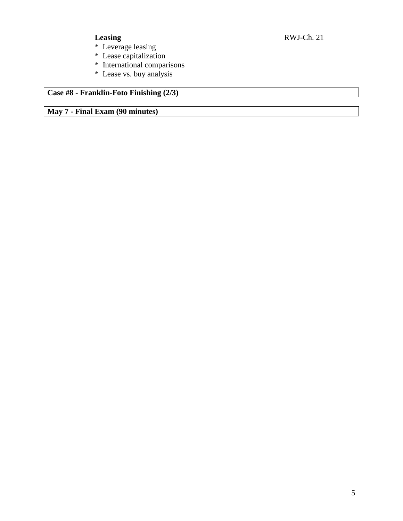- \* Leverage leasing
- \* Lease capitalization
- \* International comparisons
- \* Lease vs. buy analysis

# **Case #8 - Franklin-Foto Finishing (2/3)**

**May 7 - Final Exam (90 minutes)**